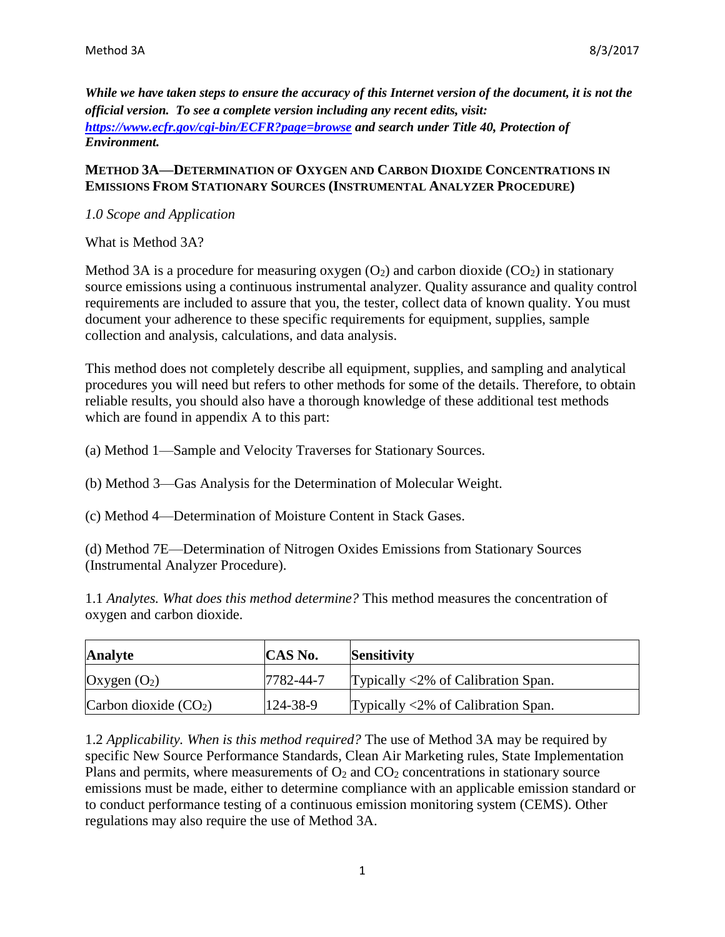*While we have taken steps to ensure the accuracy of this Internet version of the document, it is not the official version. To see a complete version including any recent edits, visit: <https://www.ecfr.gov/cgi-bin/ECFR?page=browse> and search under Title 40, Protection of Environment.*

## **METHOD 3A—DETERMINATION OF OXYGEN AND CARBON DIOXIDE CONCENTRATIONS IN EMISSIONS FROM STATIONARY SOURCES (INSTRUMENTAL ANALYZER PROCEDURE)**

## *1.0 Scope and Application*

What is Method 3A?

Method 3A is a procedure for measuring oxygen  $(O_2)$  and carbon dioxide  $(CO_2)$  in stationary source emissions using a continuous instrumental analyzer. Quality assurance and quality control requirements are included to assure that you, the tester, collect data of known quality. You must document your adherence to these specific requirements for equipment, supplies, sample collection and analysis, calculations, and data analysis.

This method does not completely describe all equipment, supplies, and sampling and analytical procedures you will need but refers to other methods for some of the details. Therefore, to obtain reliable results, you should also have a thorough knowledge of these additional test methods which are found in appendix A to this part:

- (a) Method 1—Sample and Velocity Traverses for Stationary Sources.
- (b) Method 3—Gas Analysis for the Determination of Molecular Weight.
- (c) Method 4—Determination of Moisture Content in Stack Gases.

(d) Method 7E—Determination of Nitrogen Oxides Emissions from Stationary Sources (Instrumental Analyzer Procedure).

1.1 *Analytes. What does this method determine?* This method measures the concentration of oxygen and carbon dioxide.

| <b>Analyte</b>         | <b>CAS No.</b> | Sensitivity                                          |
|------------------------|----------------|------------------------------------------------------|
| Oxygen $(O_2)$         | 7782-44-7      | Typically $\langle 2\% \rangle$ of Calibration Span. |
| Carbon dioxide $(CO2)$ | 124-38-9       | Typically $\langle 2\% \rangle$ of Calibration Span. |

1.2 *Applicability. When is this method required?* The use of Method 3A may be required by specific New Source Performance Standards, Clean Air Marketing rules, State Implementation Plans and permits, where measurements of  $O_2$  and  $CO_2$  concentrations in stationary source emissions must be made, either to determine compliance with an applicable emission standard or to conduct performance testing of a continuous emission monitoring system (CEMS). Other regulations may also require the use of Method 3A.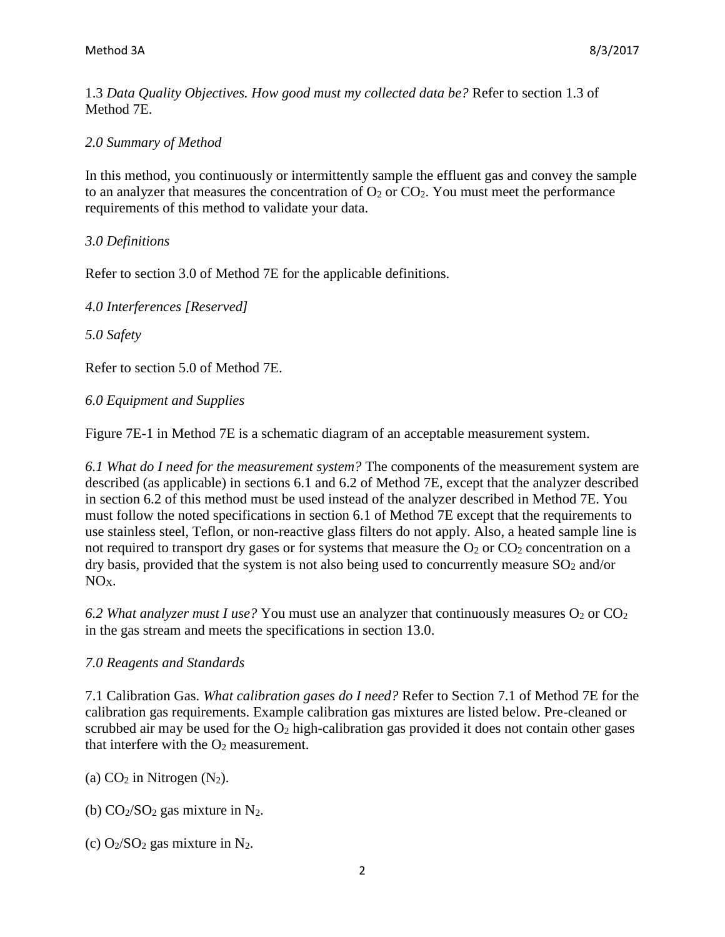1.3 *Data Quality Objectives. How good must my collected data be?* Refer to section 1.3 of Method 7E.

### *2.0 Summary of Method*

In this method, you continuously or intermittently sample the effluent gas and convey the sample to an analyzer that measures the concentration of  $O_2$  or  $CO_2$ . You must meet the performance requirements of this method to validate your data.

#### *3.0 Definitions*

Refer to section 3.0 of Method 7E for the applicable definitions.

*4.0 Interferences [Reserved]* 

*5.0 Safety*

Refer to section 5.0 of Method 7E.

#### *6.0 Equipment and Supplies*

Figure 7E-1 in Method 7E is a schematic diagram of an acceptable measurement system.

*6.1 What do I need for the measurement system?* The components of the measurement system are described (as applicable) in sections 6.1 and 6.2 of Method 7E, except that the analyzer described in section 6.2 of this method must be used instead of the analyzer described in Method 7E. You must follow the noted specifications in section 6.1 of Method 7E except that the requirements to use stainless steel, Teflon, or non-reactive glass filters do not apply. Also, a heated sample line is not required to transport dry gases or for systems that measure the  $O_2$  or  $CO_2$  concentration on a dry basis, provided that the system is not also being used to concurrently measure  $SO_2$  and/or NOX.

6.2 What analyzer must *I* use? You must use an analyzer that continuously measures O<sub>2</sub> or CO<sub>2</sub> in the gas stream and meets the specifications in section 13.0.

#### *7.0 Reagents and Standards*

7.1 Calibration Gas. *What calibration gases do I need?* Refer to Section 7.1 of Method 7E for the calibration gas requirements. Example calibration gas mixtures are listed below. Pre-cleaned or scrubbed air may be used for the  $O_2$  high-calibration gas provided it does not contain other gases that interfere with the  $O_2$  measurement.

(a)  $CO<sub>2</sub>$  in Nitrogen (N<sub>2</sub>).

(b)  $CO<sub>2</sub>/SO<sub>2</sub>$  gas mixture in N<sub>2</sub>.

(c)  $O_2/SO_2$  gas mixture in N<sub>2</sub>.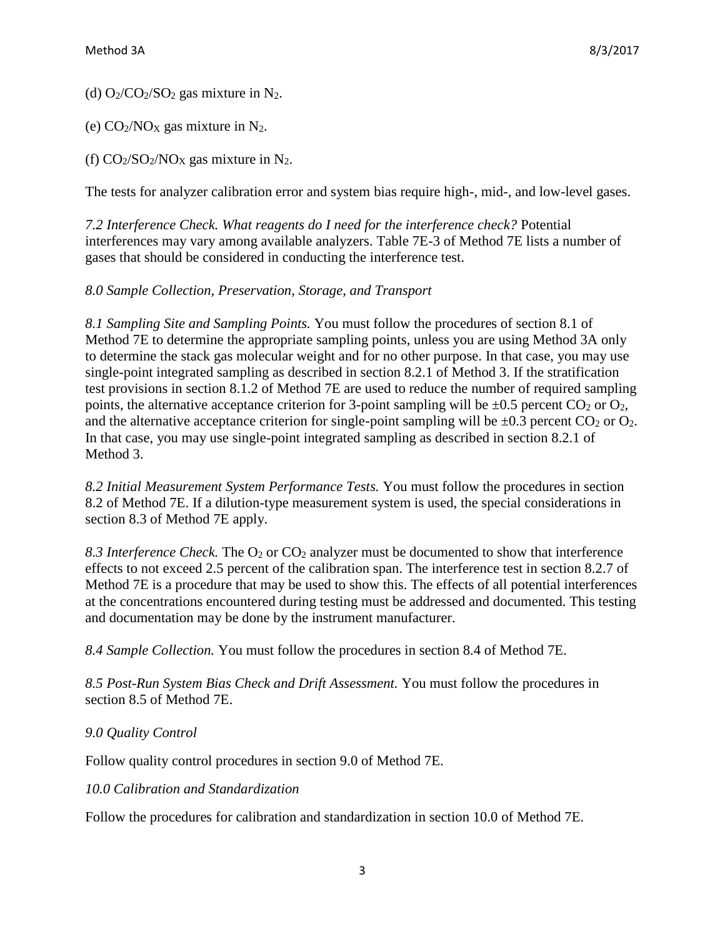(d)  $O_2$ / $CO_2$ / $SO_2$  gas mixture in N<sub>2</sub>.

(e)  $CO<sub>2</sub>/NO<sub>X</sub>$  gas mixture in  $N<sub>2</sub>$ .

(f)  $CO_2/SO_2/NO_X$  gas mixture in N<sub>2</sub>.

The tests for analyzer calibration error and system bias require high-, mid-, and low-level gases.

*7.2 Interference Check. What reagents do I need for the interference check?* Potential interferences may vary among available analyzers. Table 7E-3 of Method 7E lists a number of gases that should be considered in conducting the interference test.

## *8.0 Sample Collection, Preservation, Storage, and Transport*

*8.1 Sampling Site and Sampling Points.* You must follow the procedures of section 8.1 of Method 7E to determine the appropriate sampling points, unless you are using Method 3A only to determine the stack gas molecular weight and for no other purpose. In that case, you may use single-point integrated sampling as described in section 8.2.1 of Method 3. If the stratification test provisions in section 8.1.2 of Method 7E are used to reduce the number of required sampling points, the alternative acceptance criterion for 3-point sampling will be  $\pm 0.5$  percent CO<sub>2</sub> or O<sub>2</sub>, and the alternative acceptance criterion for single-point sampling will be  $\pm 0.3$  percent CO<sub>2</sub> or O<sub>2</sub>. In that case, you may use single-point integrated sampling as described in section 8.2.1 of Method 3.

*8.2 Initial Measurement System Performance Tests.* You must follow the procedures in section 8.2 of Method 7E. If a dilution-type measurement system is used, the special considerations in section 8.3 of Method 7E apply.

8.3 Interference Check. The O<sub>2</sub> or CO<sub>2</sub> analyzer must be documented to show that interference effects to not exceed 2.5 percent of the calibration span. The interference test in section 8.2.7 of Method 7E is a procedure that may be used to show this. The effects of all potential interferences at the concentrations encountered during testing must be addressed and documented. This testing and documentation may be done by the instrument manufacturer.

*8.4 Sample Collection.* You must follow the procedures in section 8.4 of Method 7E.

*8.5 Post-Run System Bias Check and Drift Assessment.* You must follow the procedures in section 8.5 of Method 7E.

# *9.0 Quality Control*

Follow quality control procedures in section 9.0 of Method 7E.

## *10.0 Calibration and Standardization*

Follow the procedures for calibration and standardization in section 10.0 of Method 7E.